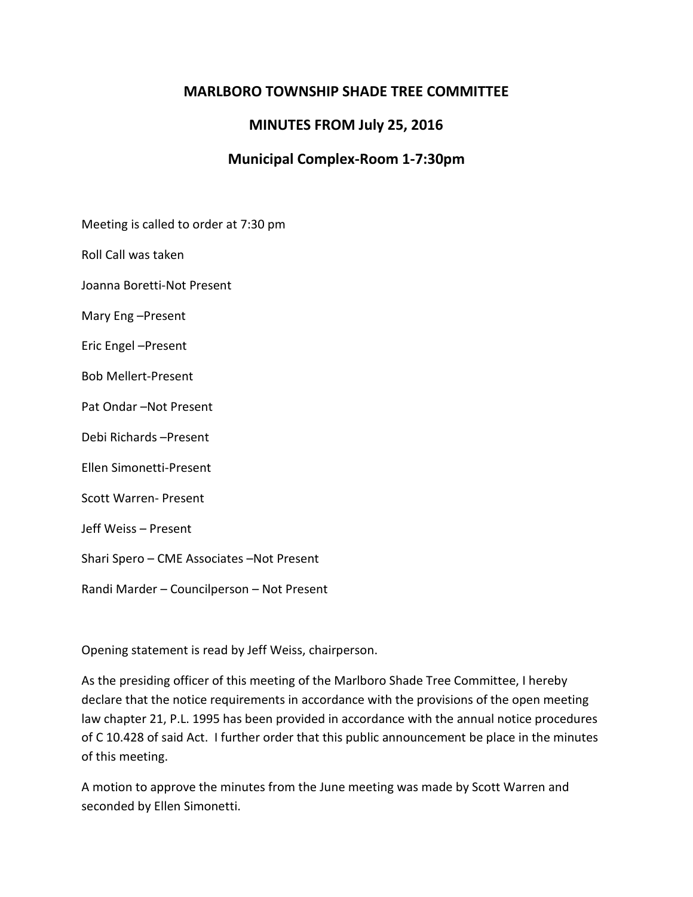### **MARLBORO TOWNSHIP SHADE TREE COMMITTEE**

# **MINUTES FROM July 25, 2016**

## **Municipal Complex-Room 1-7:30pm**

Meeting is called to order at 7:30 pm

Roll Call was taken

Joanna Boretti-Not Present

Mary Eng –Present

Eric Engel –Present

Bob Mellert-Present

Pat Ondar –Not Present

Debi Richards –Present

Ellen Simonetti-Present

Scott Warren- Present

Jeff Weiss – Present

Shari Spero – CME Associates –Not Present

Randi Marder – Councilperson – Not Present

Opening statement is read by Jeff Weiss, chairperson.

As the presiding officer of this meeting of the Marlboro Shade Tree Committee, I hereby declare that the notice requirements in accordance with the provisions of the open meeting law chapter 21, P.L. 1995 has been provided in accordance with the annual notice procedures of C 10.428 of said Act. I further order that this public announcement be place in the minutes of this meeting.

A motion to approve the minutes from the June meeting was made by Scott Warren and seconded by Ellen Simonetti.